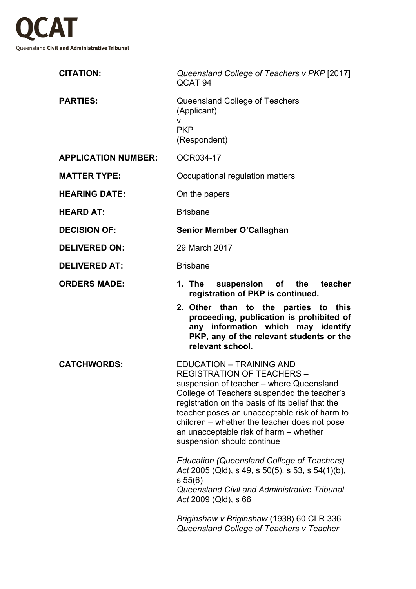

| <b>CITATION:</b>           | Queensland College of Teachers v PKP [2017]<br>QCAT <sub>94</sub>                                                                                                                                                                                                                                                                                                                          |
|----------------------------|--------------------------------------------------------------------------------------------------------------------------------------------------------------------------------------------------------------------------------------------------------------------------------------------------------------------------------------------------------------------------------------------|
| <b>PARTIES:</b>            | Queensland College of Teachers<br>(Applicant)<br>v<br><b>PKP</b><br>(Respondent)                                                                                                                                                                                                                                                                                                           |
| <b>APPLICATION NUMBER:</b> | OCR034-17                                                                                                                                                                                                                                                                                                                                                                                  |
| <b>MATTER TYPE:</b>        | Occupational regulation matters                                                                                                                                                                                                                                                                                                                                                            |
| <b>HEARING DATE:</b>       | On the papers                                                                                                                                                                                                                                                                                                                                                                              |
| <b>HEARD AT:</b>           | <b>Brisbane</b>                                                                                                                                                                                                                                                                                                                                                                            |
| <b>DECISION OF:</b>        | Senior Member O'Callaghan                                                                                                                                                                                                                                                                                                                                                                  |
| <b>DELIVERED ON:</b>       | 29 March 2017                                                                                                                                                                                                                                                                                                                                                                              |
| <b>DELIVERED AT:</b>       | <b>Brisbane</b>                                                                                                                                                                                                                                                                                                                                                                            |
| <b>ORDERS MADE:</b>        | 1. The suspension of the<br>teacher<br>registration of PKP is continued.                                                                                                                                                                                                                                                                                                                   |
|                            | 2. Other than to the parties to this<br>proceeding, publication is prohibited of<br>any information which may identify<br>PKP, any of the relevant students or the<br>relevant school.                                                                                                                                                                                                     |
| <b>CATCHWORDS:</b>         | <b>EDUCATION - TRAINING AND</b><br><b>REGISTRATION OF TEACHERS</b><br>suspension of teacher - where Queensland<br>College of Teachers suspended the teacher's<br>registration on the basis of its belief that the<br>teacher poses an unacceptable risk of harm to<br>children – whether the teacher does not pose<br>an unacceptable risk of harm – whether<br>suspension should continue |
|                            | <b>Education (Queensland College of Teachers)</b><br>Act 2005 (Qld), s 49, s 50(5), s 53, s 54(1)(b),<br>s 55(6)<br>Queensland Civil and Administrative Tribunal<br>Act 2009 (Qld), s 66                                                                                                                                                                                                   |
|                            |                                                                                                                                                                                                                                                                                                                                                                                            |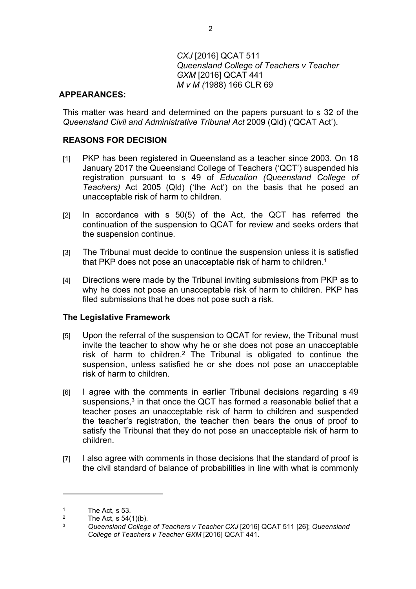# *CXJ* [2016] QCAT 511 *Queensland College of Teachers v Teacher GXM* [2016] QCAT 441 *M v M (*1988) 166 CLR 69

### **APPEARANCES:**

This matter was heard and determined on the papers pursuant to s 32 of the *Queensland Civil and Administrative Tribunal Act* 2009 (Qld) ('QCAT Act').

### **REASONS FOR DECISION**

- [1] PKP has been registered in Queensland as a teacher since 2003. On 18 January 2017 the Queensland College of Teachers ('QCT') suspended his registration pursuant to s 49 of *Education (Queensland College of Teachers)* Act 2005 (Qld) ('the Act') on the basis that he posed an unacceptable risk of harm to children.
- [2] In accordance with s 50(5) of the Act, the QCT has referred the continuation of the suspension to QCAT for review and seeks orders that the suspension continue.
- [3] The Tribunal must decide to continue the suspension unless it is satisfied that PKP does not pose an unacceptable risk of harm to children.<sup>1</sup>
- [4] Directions were made by the Tribunal inviting submissions from PKP as to why he does not pose an unacceptable risk of harm to children. PKP has filed submissions that he does not pose such a risk.

### **The Legislative Framework**

- [5] Upon the referral of the suspension to QCAT for review, the Tribunal must invite the teacher to show why he or she does not pose an unacceptable risk of harm to children.<sup>2</sup> The Tribunal is obligated to continue the suspension, unless satisfied he or she does not pose an unacceptable risk of harm to children.
- [6] I agree with the comments in earlier Tribunal decisions regarding s 49 suspensions, $3$  in that once the QCT has formed a reasonable belief that a teacher poses an unacceptable risk of harm to children and suspended the teacher's registration, the teacher then bears the onus of proof to satisfy the Tribunal that they do not pose an unacceptable risk of harm to children.
- [7] I also agree with comments in those decisions that the standard of proof is the civil standard of balance of probabilities in line with what is commonly

<sup>1</sup> The Act, s 53.

 $\overline{2}$  $\frac{2}{3}$  The Act, s 54(1)(b).

<sup>3</sup> *Queensland College of Teachers v Teacher CXJ* [2016] QCAT 511 [26]; *Queensland College of Teachers v Teacher GXM* [2016] QCAT 441.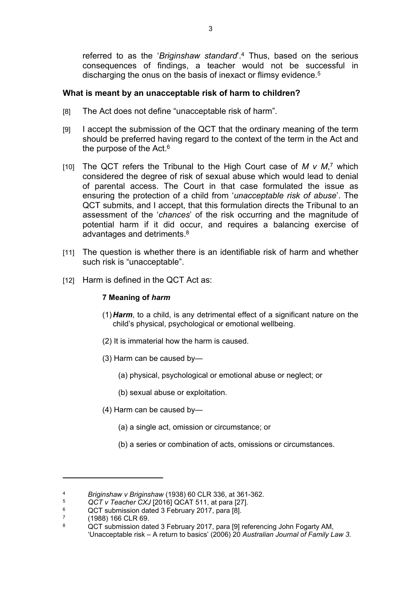referred to as the '*Briginshaw standard*'.<sup>4</sup> Thus, based on the serious consequences of findings, a teacher would not be successful in discharging the onus on the basis of inexact or flimsy evidence.<sup>5</sup>

# **What is meant by an unacceptable risk of harm to children?**

- [8] The Act does not define "unacceptable risk of harm".
- [9] I accept the submission of the QCT that the ordinary meaning of the term should be preferred having regard to the context of the term in the Act and the purpose of the Act.<sup>6</sup>
- [10] The QCT refers the Tribunal to the High Court case of  $M \vee M$ ,<sup>7</sup> which considered the degree of risk of sexual abuse which would lead to denial of parental access. The Court in that case formulated the issue as ensuring the protection of a child from '*unacceptable risk of abuse*'. The QCT submits, and I accept, that this formulation directs the Tribunal to an assessment of the '*chances*' of the risk occurring and the magnitude of potential harm if it did occur, and requires a balancing exercise of advantages and detriments.<sup>8</sup>
- [11] The question is whether there is an identifiable risk of harm and whether such risk is "unacceptable".
- [12] Harm is defined in the QCT Act as:

# **7 Meaning of** *harm*

- (1)*Harm*, to a child, is any detrimental effect of a significant nature on the child's physical, psychological or emotional wellbeing.
- (2) It is immaterial how the harm is caused.
- (3) Harm can be caused by—
	- (a) physical, psychological or emotional abuse or neglect; or
	- (b) sexual abuse or exploitation.
- (4) Harm can be caused by—
	- (a) a single act, omission or circumstance; or
	- (b) a series or combination of acts, omissions or circumstances.

<sup>4</sup> *Briginshaw v Briginshaw* (1938) 60 CLR 336, at 361-362.

<sup>5</sup> *QCT v Teacher CXJ* [2016] QCAT 511, at para [27].

<sup>6</sup> QCT submission dated 3 February 2017, para [8].

<sup>7</sup> (1988) 166 CLR 69.

<sup>8</sup> QCT submission dated 3 February 2017, para [9] referencing John Fogarty AM, 'Unacceptable risk – A return to basics' (2006) 20 *Australian Journal of Family Law 3*.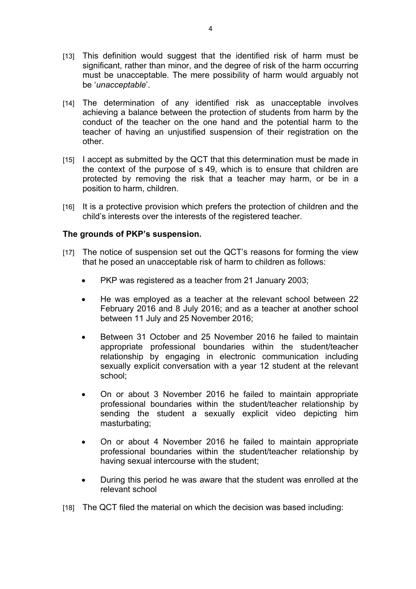- [13] This definition would suggest that the identified risk of harm must be significant, rather than minor, and the degree of risk of the harm occurring must be unacceptable. The mere possibility of harm would arguably not be '*unacceptable*'.
- [14] The determination of any identified risk as unacceptable involves achieving a balance between the protection of students from harm by the conduct of the teacher on the one hand and the potential harm to the teacher of having an unjustified suspension of their registration on the other.
- [15] I accept as submitted by the QCT that this determination must be made in the context of the purpose of s 49, which is to ensure that children are protected by removing the risk that a teacher may harm, or be in a position to harm, children.
- [16] It is a protective provision which prefers the protection of children and the child's interests over the interests of the registered teacher.

### **The grounds of PKP's suspension.**

- [17] The notice of suspension set out the QCT's reasons for forming the view that he posed an unacceptable risk of harm to children as follows:
	- PKP was registered as a teacher from 21 January 2003:
	- He was employed as a teacher at the relevant school between 22 February 2016 and 8 July 2016; and as a teacher at another school between 11 July and 25 November 2016;
	- Between 31 October and 25 November 2016 he failed to maintain appropriate professional boundaries within the student/teacher relationship by engaging in electronic communication including sexually explicit conversation with a year 12 student at the relevant school;
	- On or about 3 November 2016 he failed to maintain appropriate professional boundaries within the student/teacher relationship by sending the student a sexually explicit video depicting him masturbating;
	- On or about 4 November 2016 he failed to maintain appropriate professional boundaries within the student/teacher relationship by having sexual intercourse with the student;
	- During this period he was aware that the student was enrolled at the relevant school
- [18] The QCT filed the material on which the decision was based including: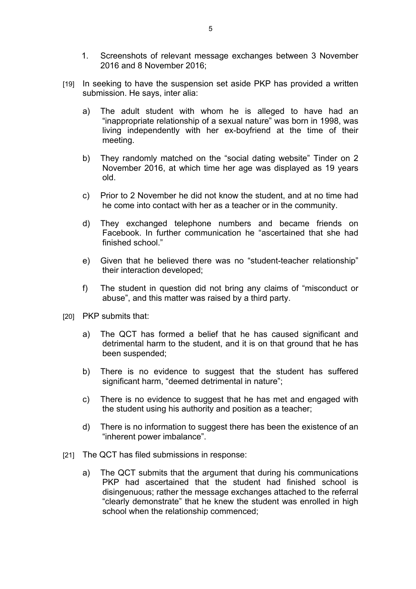- 1. Screenshots of relevant message exchanges between 3 November 2016 and 8 November 2016;
- [19] In seeking to have the suspension set aside PKP has provided a written submission. He says, inter alia:
	- a) The adult student with whom he is alleged to have had an "inappropriate relationship of a sexual nature" was born in 1998, was living independently with her ex-boyfriend at the time of their meeting.
	- b) They randomly matched on the "social dating website" Tinder on 2 November 2016, at which time her age was displayed as 19 years old.
	- c) Prior to 2 November he did not know the student, and at no time had he come into contact with her as a teacher or in the community.
	- d) They exchanged telephone numbers and became friends on Facebook. In further communication he "ascertained that she had finished school."
	- e) Given that he believed there was no "student-teacher relationship" their interaction developed;
	- f) The student in question did not bring any claims of "misconduct or abuse", and this matter was raised by a third party.
- [20] PKP submits that:
	- a) The QCT has formed a belief that he has caused significant and detrimental harm to the student, and it is on that ground that he has been suspended;
	- b) There is no evidence to suggest that the student has suffered significant harm, "deemed detrimental in nature";
	- c) There is no evidence to suggest that he has met and engaged with the student using his authority and position as a teacher;
	- d) There is no information to suggest there has been the existence of an "inherent power imbalance".
- [21] The QCT has filed submissions in response:
	- a) The QCT submits that the argument that during his communications PKP had ascertained that the student had finished school is disingenuous; rather the message exchanges attached to the referral "clearly demonstrate" that he knew the student was enrolled in high school when the relationship commenced;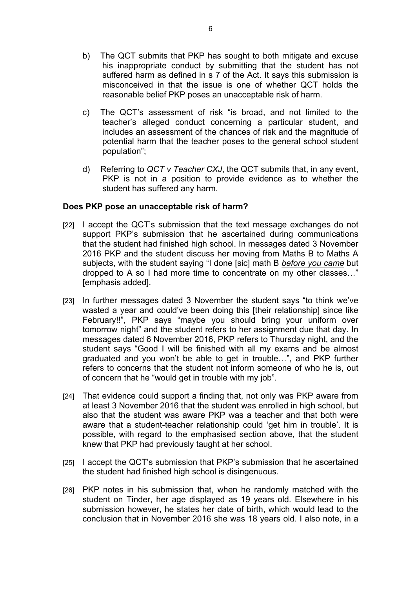- b) The QCT submits that PKP has sought to both mitigate and excuse his inappropriate conduct by submitting that the student has not suffered harm as defined in s 7 of the Act. It says this submission is misconceived in that the issue is one of whether QCT holds the reasonable belief PKP poses an unacceptable risk of harm.
- c) The QCT's assessment of risk "is broad, and not limited to the teacher's alleged conduct concerning a particular student, and includes an assessment of the chances of risk and the magnitude of potential harm that the teacher poses to the general school student population";
- d) Referring to *QCT v Teacher CXJ*, the QCT submits that, in any event, PKP is not in a position to provide evidence as to whether the student has suffered any harm.

# **Does PKP pose an unacceptable risk of harm?**

- [22] I accept the QCT's submission that the text message exchanges do not support PKP's submission that he ascertained during communications that the student had finished high school. In messages dated 3 November 2016 PKP and the student discuss her moving from Maths B to Maths A subjects, with the student saying "I done [sic] math B *before you came* but dropped to A so I had more time to concentrate on my other classes…" [emphasis added].
- [23] In further messages dated 3 November the student says "to think we've wasted a year and could've been doing this [their relationship] since like February!!", PKP says "maybe you should bring your uniform over tomorrow night" and the student refers to her assignment due that day. In messages dated 6 November 2016, PKP refers to Thursday night, and the student says "Good I will be finished with all my exams and be almost graduated and you won't be able to get in trouble…", and PKP further refers to concerns that the student not inform someone of who he is, out of concern that he "would get in trouble with my job".
- [24] That evidence could support a finding that, not only was PKP aware from at least 3 November 2016 that the student was enrolled in high school, but also that the student was aware PKP was a teacher and that both were aware that a student-teacher relationship could 'get him in trouble'. It is possible, with regard to the emphasised section above, that the student knew that PKP had previously taught at her school.
- [25] I accept the QCT's submission that PKP's submission that he ascertained the student had finished high school is disingenuous.
- [26] PKP notes in his submission that, when he randomly matched with the student on Tinder, her age displayed as 19 years old. Elsewhere in his submission however, he states her date of birth, which would lead to the conclusion that in November 2016 she was 18 years old. I also note, in a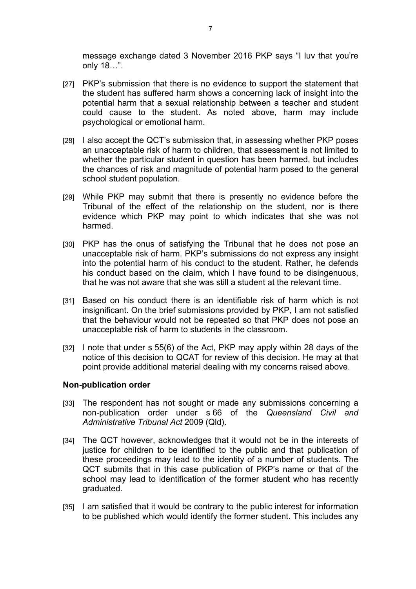message exchange dated 3 November 2016 PKP says "I luv that you're only 18…".

- [27] PKP's submission that there is no evidence to support the statement that the student has suffered harm shows a concerning lack of insight into the potential harm that a sexual relationship between a teacher and student could cause to the student. As noted above, harm may include psychological or emotional harm.
- [28] I also accept the QCT's submission that, in assessing whether PKP poses an unacceptable risk of harm to children, that assessment is not limited to whether the particular student in question has been harmed, but includes the chances of risk and magnitude of potential harm posed to the general school student population.
- [29] While PKP may submit that there is presently no evidence before the Tribunal of the effect of the relationship on the student, nor is there evidence which PKP may point to which indicates that she was not harmed.
- [30] PKP has the onus of satisfying the Tribunal that he does not pose an unacceptable risk of harm. PKP's submissions do not express any insight into the potential harm of his conduct to the student. Rather, he defends his conduct based on the claim, which I have found to be disingenuous, that he was not aware that she was still a student at the relevant time.
- [31] Based on his conduct there is an identifiable risk of harm which is not insignificant. On the brief submissions provided by PKP, I am not satisfied that the behaviour would not be repeated so that PKP does not pose an unacceptable risk of harm to students in the classroom.
- [32] I note that under s 55(6) of the Act, PKP may apply within 28 days of the notice of this decision to QCAT for review of this decision. He may at that point provide additional material dealing with my concerns raised above.

### **Non-publication order**

- [33] The respondent has not sought or made any submissions concerning a non-publication order under s 66 of the *Queensland Civil and Administrative Tribunal Act* 2009 (Qld).
- [34] The QCT however, acknowledges that it would not be in the interests of justice for children to be identified to the public and that publication of these proceedings may lead to the identity of a number of students. The QCT submits that in this case publication of PKP's name or that of the school may lead to identification of the former student who has recently graduated.
- [35] I am satisfied that it would be contrary to the public interest for information to be published which would identify the former student. This includes any